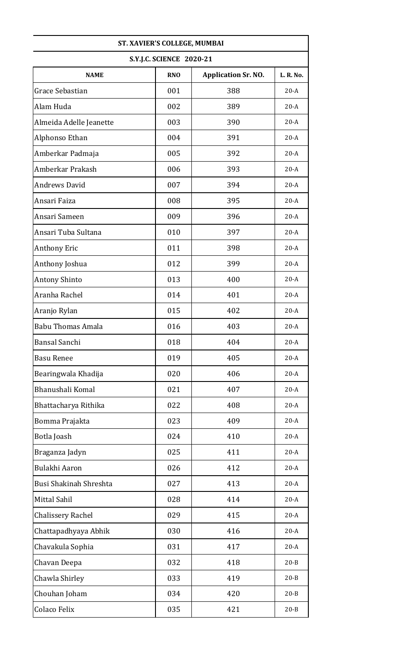| ST. XAVIER'S COLLEGE, MUMBAI |                                 |                            |           |
|------------------------------|---------------------------------|----------------------------|-----------|
|                              | <b>S.Y.J.C. SCIENCE 2020-21</b> |                            |           |
| <b>NAME</b>                  | <b>RNO</b>                      | <b>Application Sr. NO.</b> | L. R. No. |
| Grace Sebastian              | 001                             | 388                        | $20-A$    |
| Alam Huda                    | 002                             | 389                        | $20-A$    |
| Almeida Adelle Jeanette      | 003                             | 390                        | $20-A$    |
| Alphonso Ethan               | 004                             | 391                        | $20-A$    |
| Amberkar Padmaja             | 005                             | 392                        | $20-A$    |
| Amberkar Prakash             | 006                             | 393                        | $20-A$    |
| <b>Andrews David</b>         | 007                             | 394                        | $20-A$    |
| Ansari Faiza                 | 008                             | 395                        | $20-A$    |
| Ansari Sameen                | 009                             | 396                        | $20-A$    |
| Ansari Tuba Sultana          | 010                             | 397                        | $20-A$    |
| Anthony Eric                 | 011                             | 398                        | $20-A$    |
| Anthony Joshua               | 012                             | 399                        | $20-A$    |
| <b>Antony Shinto</b>         | 013                             | 400                        | $20-A$    |
| Aranha Rachel                | 014                             | 401                        | $20-A$    |
| Aranjo Rylan                 | 015                             | 402                        | $20-A$    |
| <b>Babu Thomas Amala</b>     | 016                             | 403                        | $20-A$    |
| Bansal Sanchi                | 018                             | 404                        | $20-A$    |
| <b>Basu Renee</b>            | 019                             | 405                        | $20-A$    |
| Bearingwala Khadija          | 020                             | 406                        | $20-A$    |
| Bhanushali Komal             | 021                             | 407                        | $20-A$    |
| Bhattacharya Rithika         | 022                             | 408                        | $20-A$    |
| Bomma Prajakta               | 023                             | 409                        | $20-A$    |
| Botla Joash                  | 024                             | 410                        | $20-A$    |
| Braganza Jadyn               | 025                             | 411                        | $20-A$    |
| Bulakhi Aaron                | 026                             | 412                        | $20-A$    |
| Busi Shakinah Shreshta       | 027                             | 413                        | $20-A$    |
| Mittal Sahil                 | 028                             | 414                        | $20-A$    |
| <b>Chalissery Rachel</b>     | 029                             | 415                        | $20-A$    |
| Chattapadhyaya Abhik         | 030                             | 416                        | $20-A$    |
| Chavakula Sophia             | 031                             | 417                        | $20-A$    |
| Chavan Deepa                 | 032                             | 418                        | $20 - B$  |
| Chawla Shirley               | 033                             | 419                        | $20 - B$  |
| Chouhan Joham                | 034                             | 420                        | $20 - B$  |
| <b>Colaco Felix</b>          | 035                             | 421                        | $20 - B$  |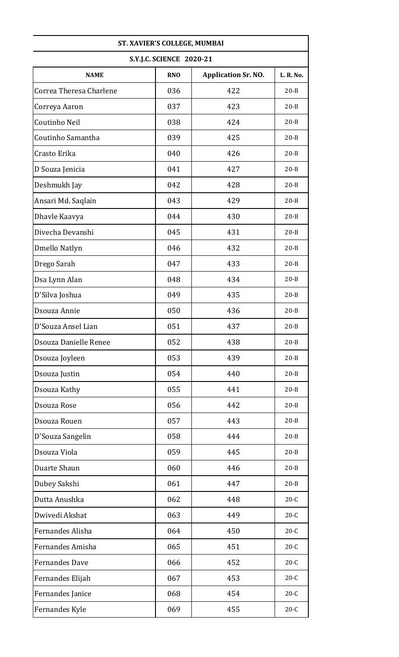| ST. XAVIER'S COLLEGE, MUMBAI |                                 |                            |           |
|------------------------------|---------------------------------|----------------------------|-----------|
|                              | <b>S.Y.J.C. SCIENCE 2020-21</b> |                            |           |
| <b>NAME</b>                  | <b>RNO</b>                      | <b>Application Sr. NO.</b> | L. R. No. |
| Correa Theresa Charlene      | 036                             | 422                        | $20 - B$  |
| Correya Aaron                | 037                             | 423                        | $20 - B$  |
| Coutinho Neil                | 038                             | 424                        | $20 - B$  |
| Coutinho Samantha            | 039                             | 425                        | $20 - B$  |
| Crasto Erika                 | 040                             | 426                        | $20 - B$  |
| D Souza Jenicia              | 041                             | 427                        | $20 - B$  |
| Deshmukh Jay                 | 042                             | 428                        | $20 - B$  |
| Ansari Md. Saqlain           | 043                             | 429                        | $20 - B$  |
| Dhavle Kaavya                | 044                             | 430                        | $20 - B$  |
| Divecha Devanshi             | 045                             | 431                        | $20 - B$  |
| Dmello Natlyn                | 046                             | 432                        | $20 - B$  |
| Drego Sarah                  | 047                             | 433                        | $20 - B$  |
| Dsa Lynn Alan                | 048                             | 434                        | $20 - B$  |
| D'Silva Joshua               | 049                             | 435                        | $20 - B$  |
| Dsouza Annie                 | 050                             | 436                        | $20 - B$  |
| D'Souza Ansel Lian           | 051                             | 437                        | $20 - B$  |
| Dsouza Danielle Renee        | 052                             | 438                        | $20 - B$  |
| Dsouza Joyleen               | 053                             | 439                        | $20 - B$  |
| Dsouza Justin                | 054                             | 440                        | $20 - B$  |
| Dsouza Kathy                 | 055                             | 441                        | $20 - B$  |
| Dsouza Rose                  | 056                             | 442                        | $20 - B$  |
| Dsouza Rouen                 | 057                             | 443                        | $20 - B$  |
| D'Souza Sangelin             | 058                             | 444                        | $20 - B$  |
| Dsouza Viola                 | 059                             | 445                        | $20 - B$  |
| Duarte Shaun                 | 060                             | 446                        | $20 - B$  |
| Dubey Sakshi                 | 061                             | 447                        | $20 - B$  |
| Dutta Anushka                | 062                             | 448                        | $20-C$    |
| Dwivedi Akshat               | 063                             | 449                        | $20-C$    |
| Fernandes Alisha             | 064                             | 450                        | $20-C$    |
| Fernandes Amisha             | 065                             | 451                        | $20-C$    |
| <b>Fernandes Dave</b>        | 066                             | 452                        | $20-C$    |
| Fernandes Elijah             | 067                             | 453                        | $20-C$    |
| Fernandes Janice             | 068                             | 454                        | $20-C$    |
| Fernandes Kyle               | 069                             | 455                        | $20-C$    |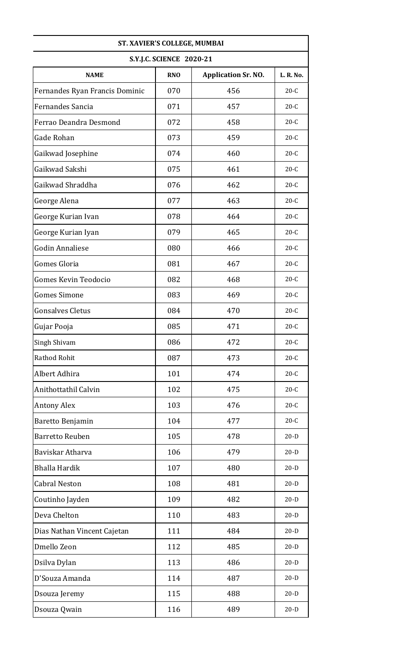| ST. XAVIER'S COLLEGE, MUMBAI   |                                 |                            |           |
|--------------------------------|---------------------------------|----------------------------|-----------|
|                                | <b>S.Y.J.C. SCIENCE 2020-21</b> |                            |           |
| <b>NAME</b>                    | <b>RNO</b>                      | <b>Application Sr. NO.</b> | L. R. No. |
| Fernandes Ryan Francis Dominic | 070                             | 456                        | $20-C$    |
| Fernandes Sancia               | 071                             | 457                        | $20-C$    |
| Ferrao Deandra Desmond         | 072                             | 458                        | $20-C$    |
| Gade Rohan                     | 073                             | 459                        | $20-C$    |
| Gaikwad Josephine              | 074                             | 460                        | $20-C$    |
| Gaikwad Sakshi                 | 075                             | 461                        | $20-C$    |
| Gaikwad Shraddha               | 076                             | 462                        | $20-C$    |
| George Alena                   | 077                             | 463                        | $20-C$    |
| George Kurian Ivan             | 078                             | 464                        | $20-C$    |
| George Kurian Iyan             | 079                             | 465                        | $20-C$    |
| <b>Godin Annaliese</b>         | 080                             | 466                        | $20-C$    |
| Gomes Gloria                   | 081                             | 467                        | $20-C$    |
| <b>Gomes Kevin Teodocio</b>    | 082                             | 468                        | $20-C$    |
| <b>Gomes Simone</b>            | 083                             | 469                        | $20-C$    |
| <b>Gonsalves Cletus</b>        | 084                             | 470                        | $20-C$    |
| Gujar Pooja                    | 085                             | 471                        | $20-C$    |
| Singh Shivam                   | 086                             | 472                        | $20-C$    |
| Rathod Rohit                   | 087                             | 473                        | $20-C$    |
| Albert Adhira                  | 101                             | 474                        | $20-C$    |
| Anithottathil Calvin           | 102                             | 475                        | $20-C$    |
| <b>Antony Alex</b>             | 103                             | 476                        | $20-C$    |
| Baretto Benjamin               | 104                             | 477                        | $20-C$    |
| <b>Barretto Reuben</b>         | 105                             | 478                        | $20-D$    |
| Baviskar Atharva               | 106                             | 479                        | $20-D$    |
| <b>Bhalla Hardik</b>           | 107                             | 480                        | $20-D$    |
| <b>Cabral Neston</b>           | 108                             | 481                        | $20-D$    |
| Coutinho Jayden                | 109                             | 482                        | $20-D$    |
| Deva Chelton                   | 110                             | 483                        | $20-D$    |
| Dias Nathan Vincent Cajetan    | 111                             | 484                        | $20-D$    |
| Dmello Zeon                    | 112                             | 485                        | $20-D$    |
| Dsilva Dylan                   | 113                             | 486                        | $20-D$    |
| D'Souza Amanda                 | 114                             | 487                        | $20-D$    |
| Dsouza Jeremy                  | 115                             | 488                        | $20-D$    |
| Dsouza Qwain                   | 116                             | 489                        | $20-D$    |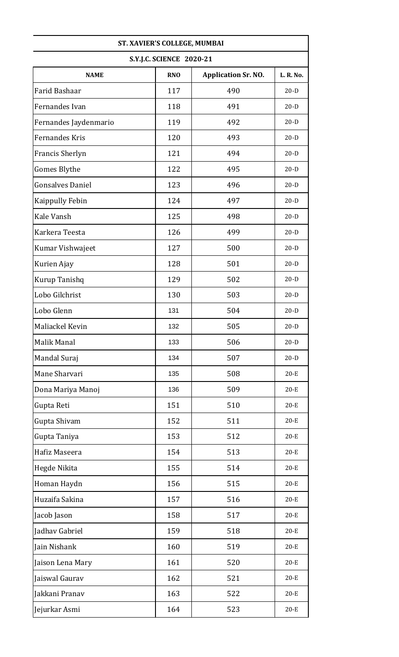| ST. XAVIER'S COLLEGE, MUMBAI |                                 |                            |           |
|------------------------------|---------------------------------|----------------------------|-----------|
|                              | <b>S.Y.J.C. SCIENCE 2020-21</b> |                            |           |
| <b>NAME</b>                  | <b>RNO</b>                      | <b>Application Sr. NO.</b> | L. R. No. |
| Farid Bashaar                | 117                             | 490                        | $20-D$    |
| Fernandes Ivan               | 118                             | 491                        | $20-D$    |
| Fernandes Jaydenmario        | 119                             | 492                        | $20-D$    |
| <b>Fernandes Kris</b>        | 120                             | 493                        | $20-D$    |
| Francis Sherlyn              | 121                             | 494                        | $20-D$    |
| <b>Gomes Blythe</b>          | 122                             | 495                        | $20-D$    |
| <b>Gonsalves Daniel</b>      | 123                             | 496                        | $20-D$    |
| Kaippully Febin              | 124                             | 497                        | $20-D$    |
| Kale Vansh                   | 125                             | 498                        | $20-D$    |
| Karkera Teesta               | 126                             | 499                        | $20-D$    |
| Kumar Vishwajeet             | 127                             | 500                        | $20-D$    |
| Kurien Ajay                  | 128                             | 501                        | $20-D$    |
| Kurup Tanishq                | 129                             | 502                        | $20-D$    |
| Lobo Gilchrist               | 130                             | 503                        | $20-D$    |
| Lobo Glenn                   | 131                             | 504                        | $20-D$    |
| Maliackel Kevin              | 132                             | 505                        | $20-D$    |
| Malik Manal                  | 133                             | 506                        | $20-D$    |
| Mandal Suraj                 | 134                             | 507                        | $20-D$    |
| Mane Sharvari                | 135                             | 508                        | $20-E$    |
| Dona Mariya Manoj            | 136                             | 509                        | $20-E$    |
| Gupta Reti                   | 151                             | 510                        | $20-E$    |
| Gupta Shivam                 | 152                             | 511                        | $20-E$    |
| Gupta Taniya                 | 153                             | 512                        | $20-E$    |
| Hafiz Maseera                | 154                             | 513                        | $20-E$    |
| Hegde Nikita                 | 155                             | 514                        | $20-E$    |
| Homan Haydn                  | 156                             | 515                        | $20-E$    |
| Huzaifa Sakina               | 157                             | 516                        | $20-E$    |
| Jacob Jason                  | 158                             | 517                        | $20-E$    |
| Jadhav Gabriel               | 159                             | 518                        | $20-E$    |
| Jain Nishank                 | 160                             | 519                        | $20-E$    |
| Jaison Lena Mary             | 161                             | 520                        | $20-E$    |
| Jaiswal Gaurav               | 162                             | 521                        | $20-E$    |
| Jakkani Pranav               | 163                             | 522                        | $20-E$    |
| Jejurkar Asmi                | 164                             | 523                        | $20-E$    |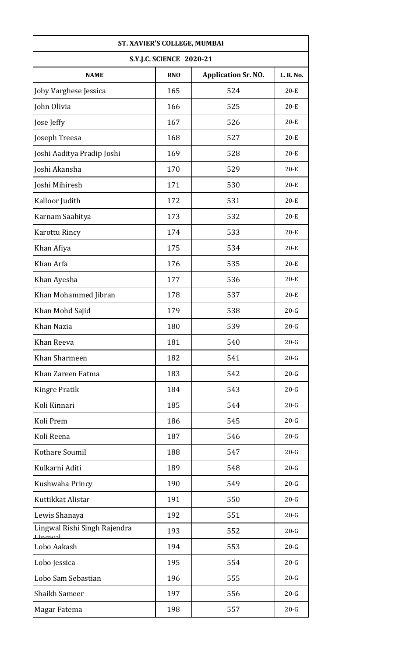| ST. XAVIER'S COLLEGE, MUMBAI               |                                 |                            |           |
|--------------------------------------------|---------------------------------|----------------------------|-----------|
|                                            | <b>S.Y.J.C. SCIENCE 2020-21</b> |                            |           |
| <b>NAME</b>                                | <b>RNO</b>                      | <b>Application Sr. NO.</b> | L. R. No. |
| Joby Varghese Jessica                      | 165                             | 524                        | $20-E$    |
| John Olivia                                | 166                             | 525                        | $20-E$    |
| Jose Jeffy                                 | 167                             | 526                        | $20-E$    |
| Joseph Treesa                              | 168                             | 527                        | $20-E$    |
| Joshi Aaditya Pradip Joshi                 | 169                             | 528                        | $20-E$    |
| Joshi Akansha                              | 170                             | 529                        | $20-E$    |
| Joshi Mihiresh                             | 171                             | 530                        | $20-E$    |
| Kalloor Judith                             | 172                             | 531                        | $20-E$    |
| Karnam Saahitya                            | 173                             | 532                        | $20-E$    |
| Karottu Rincy                              | 174                             | 533                        | $20-E$    |
| Khan Afiya                                 | 175                             | 534                        | $20-E$    |
| Khan Arfa                                  | 176                             | 535                        | $20-E$    |
| Khan Ayesha                                | 177                             | 536                        | $20-E$    |
| Khan Mohammed Jibran                       | 178                             | 537                        | $20-E$    |
| Khan Mohd Sajid                            | 179                             | 538                        | $20-G$    |
| Khan Nazia                                 | 180                             | 539                        | $20 - G$  |
| Khan Reeva                                 | 181                             | 540                        | $20-G$    |
| Khan Sharmeen                              | 182                             | 541                        | $20 - G$  |
| Khan Zareen Fatma                          | 183                             | 542                        | $20 - G$  |
| <b>Kingre Pratik</b>                       | 184                             | 543                        | $20 - G$  |
| Koli Kinnari                               | 185                             | 544                        | $20-G$    |
| Koli Prem                                  | 186                             | 545                        | $20-G$    |
| Koli Reena                                 | 187                             | 546                        | $20-G$    |
| Kothare Soumil                             | 188                             | 547                        | $20-G$    |
| Kulkarni Aditi                             | 189                             | 548                        | $20-G$    |
| Kushwaha Princy                            | 190                             | 549                        | $20-G$    |
| Kuttikkat Alistar                          | 191                             | 550                        | $20-G$    |
| Lewis Shanaya                              | 192                             | 551                        | $20-G$    |
| Lingwal Rishi Singh Rajendra<br>$I$ ingwal | 193                             | 552                        | $20-G$    |
| Lobo Aakash                                | 194                             | 553                        | $20-G$    |
| Lobo Jessica                               | 195                             | 554                        | $20-G$    |
| Lobo Sam Sebastian                         | 196                             | 555                        | $20-G$    |
| <b>Shaikh Sameer</b>                       | 197                             | 556                        | $20-G$    |
| Magar Fatema                               | 198                             | 557                        | $20-G$    |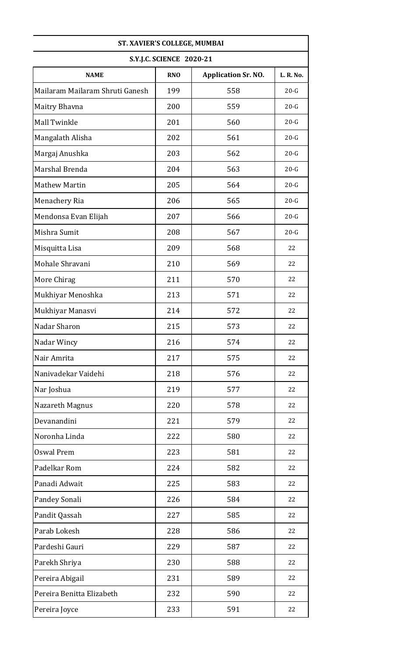| ST. XAVIER'S COLLEGE, MUMBAI    |                                 |                            |           |
|---------------------------------|---------------------------------|----------------------------|-----------|
|                                 | <b>S.Y.J.C. SCIENCE 2020-21</b> |                            |           |
| <b>NAME</b>                     | <b>RNO</b>                      | <b>Application Sr. NO.</b> | L. R. No. |
| Mailaram Mailaram Shruti Ganesh | 199                             | 558                        | $20-G$    |
| Maitry Bhavna                   | 200                             | 559                        | $20-G$    |
| Mall Twinkle                    | 201                             | 560                        | $20-G$    |
| Mangalath Alisha                | 202                             | 561                        | $20-G$    |
| Margaj Anushka                  | 203                             | 562                        | $20-G$    |
| Marshal Brenda                  | 204                             | 563                        | $20-G$    |
| <b>Mathew Martin</b>            | 205                             | 564                        | $20 - G$  |
| Menachery Ria                   | 206                             | 565                        | $20 - G$  |
| Mendonsa Evan Elijah            | 207                             | 566                        | $20 - G$  |
| Mishra Sumit                    | 208                             | 567                        | $20 - G$  |
| Misquitta Lisa                  | 209                             | 568                        | 22        |
| Mohale Shravani                 | 210                             | 569                        | 22        |
| More Chirag                     | 211                             | 570                        | 22        |
| Mukhiyar Menoshka               | 213                             | 571                        | 22        |
| Mukhiyar Manasvi                | 214                             | 572                        | 22        |
| Nadar Sharon                    | 215                             | 573                        | 22        |
| Nadar Wincy                     | 216                             | 574                        | 22        |
| Nair Amrita                     | 217                             | 575                        | 22        |
| Nanivadekar Vaidehi             | 218                             | 576                        | 22        |
| Nar Joshua                      | 219                             | 577                        | 22        |
| Nazareth Magnus                 | 220                             | 578                        | 22        |
| Devanandini                     | 221                             | 579                        | 22        |
| Noronha Linda                   | 222                             | 580                        | 22        |
| <b>Oswal Prem</b>               | 223                             | 581                        | 22        |
| Padelkar Rom                    | 224                             | 582                        | 22        |
| Panadi Adwait                   | 225                             | 583                        | 22        |
| Pandey Sonali                   | 226                             | 584                        | 22        |
| Pandit Qassah                   | 227                             | 585                        | 22        |
| Parab Lokesh                    | 228                             | 586                        | 22        |
| Pardeshi Gauri                  | 229                             | 587                        | 22        |
| Parekh Shriya                   | 230                             | 588                        | 22        |
| Pereira Abigail                 | 231                             | 589                        | 22        |
| Pereira Benitta Elizabeth       | 232                             | 590                        | 22        |
| Pereira Joyce                   | 233                             | 591                        | 22        |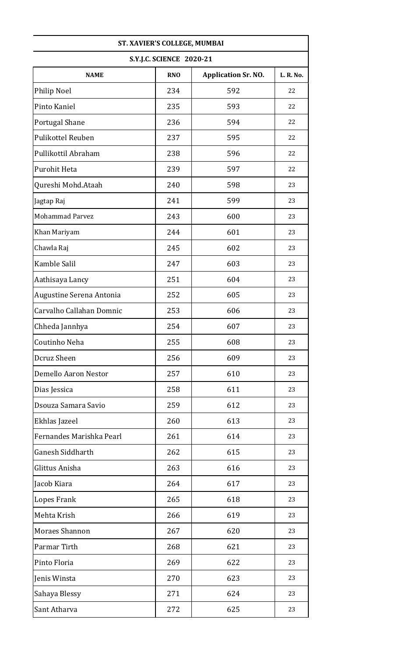| ST. XAVIER'S COLLEGE, MUMBAI |                                 |                            |           |
|------------------------------|---------------------------------|----------------------------|-----------|
|                              | <b>S.Y.J.C. SCIENCE 2020-21</b> |                            |           |
| <b>NAME</b>                  | <b>RNO</b>                      | <b>Application Sr. NO.</b> | L. R. No. |
| Philip Noel                  | 234                             | 592                        | 22        |
| Pinto Kaniel                 | 235                             | 593                        | 22        |
| Portugal Shane               | 236                             | 594                        | 22        |
| <b>Pulikottel Reuben</b>     | 237                             | 595                        | 22        |
| Pullikottil Abraham          | 238                             | 596                        | 22        |
| Purohit Heta                 | 239                             | 597                        | 22        |
| Qureshi Mohd.Ataah           | 240                             | 598                        | 23        |
| Jagtap Raj                   | 241                             | 599                        | 23        |
| <b>Mohammad Parvez</b>       | 243                             | 600                        | 23        |
| Khan Mariyam                 | 244                             | 601                        | 23        |
| Chawla Raj                   | 245                             | 602                        | 23        |
| Kamble Salil                 | 247                             | 603                        | 23        |
| Aathisaya Lancy              | 251                             | 604                        | 23        |
| Augustine Serena Antonia     | 252                             | 605                        | 23        |
| Carvalho Callahan Domnic     | 253                             | 606                        | 23        |
| Chheda Jannhya               | 254                             | 607                        | 23        |
| Coutinho Neha                | 255                             | 608                        | 23        |
| Dcruz Sheen                  | 256                             | 609                        | 23        |
| Demello Aaron Nestor         | 257                             | 610                        | 23        |
| Dias Jessica                 | 258                             | 611                        | 23        |
| Dsouza Samara Savio          | 259                             | 612                        | 23        |
| Ekhlas Jazeel                | 260                             | 613                        | 23        |
| Fernandes Marishka Pearl     | 261                             | 614                        | 23        |
| Ganesh Siddharth             | 262                             | 615                        | 23        |
| Glittus Anisha               | 263                             | 616                        | 23        |
| Jacob Kiara                  | 264                             | 617                        | 23        |
| Lopes Frank                  | 265                             | 618                        | 23        |
| Mehta Krish                  | 266                             | 619                        | 23        |
| Moraes Shannon               | 267                             | 620                        | 23        |
| Parmar Tirth                 | 268                             | 621                        | 23        |
| Pinto Floria                 | 269                             | 622                        | 23        |
| Jenis Winsta                 | 270                             | 623                        | 23        |
| Sahaya Blessy                | 271                             | 624                        | 23        |
| Sant Atharva                 | 272                             | 625                        | 23        |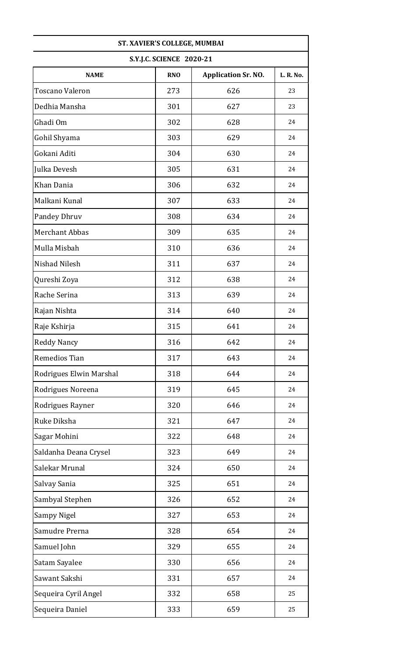| ST. XAVIER'S COLLEGE, MUMBAI |                          |                            |           |
|------------------------------|--------------------------|----------------------------|-----------|
|                              | S.Y.J.C. SCIENCE 2020-21 |                            |           |
| <b>NAME</b>                  | <b>RNO</b>               | <b>Application Sr. NO.</b> | L. R. No. |
| <b>Toscano Valeron</b>       | 273                      | 626                        | 23        |
| Dedhia Mansha                | 301                      | 627                        | 23        |
| Ghadi Om                     | 302                      | 628                        | 24        |
| Gohil Shyama                 | 303                      | 629                        | 24        |
| Gokani Aditi                 | 304                      | 630                        | 24        |
| Julka Devesh                 | 305                      | 631                        | 24        |
| Khan Dania                   | 306                      | 632                        | 24        |
| Malkani Kunal                | 307                      | 633                        | 24        |
| Pandey Dhruv                 | 308                      | 634                        | 24        |
| <b>Merchant Abbas</b>        | 309                      | 635                        | 24        |
| Mulla Misbah                 | 310                      | 636                        | 24        |
| Nishad Nilesh                | 311                      | 637                        | 24        |
| Qureshi Zoya                 | 312                      | 638                        | 24        |
| Rache Serina                 | 313                      | 639                        | 24        |
| Rajan Nishta                 | 314                      | 640                        | 24        |
| Raje Kshirja                 | 315                      | 641                        | 24        |
| <b>Reddy Nancy</b>           | 316                      | 642                        | 24        |
| Remedios Tian                | 317                      | 643                        | 24        |
| Rodrigues Elwin Marshal      | 318                      | 644                        | 24        |
| Rodrigues Noreena            | 319                      | 645                        | 24        |
| Rodrigues Rayner             | 320                      | 646                        | 24        |
| Ruke Diksha                  | 321                      | 647                        | 24        |
| Sagar Mohini                 | 322                      | 648                        | 24        |
| Saldanha Deana Crysel        | 323                      | 649                        | 24        |
| Salekar Mrunal               | 324                      | 650                        | 24        |
| Salvay Sania                 | 325                      | 651                        | 24        |
| Sambyal Stephen              | 326                      | 652                        | 24        |
| <b>Sampy Nigel</b>           | 327                      | 653                        | 24        |
| Samudre Prerna               | 328                      | 654                        | 24        |
| Samuel John                  | 329                      | 655                        | 24        |
| Satam Sayalee                | 330                      | 656                        | 24        |
| Sawant Sakshi                | 331                      | 657                        | 24        |
| Sequeira Cyril Angel         | 332                      | 658                        | 25        |
| Sequeira Daniel              | 333                      | 659                        | 25        |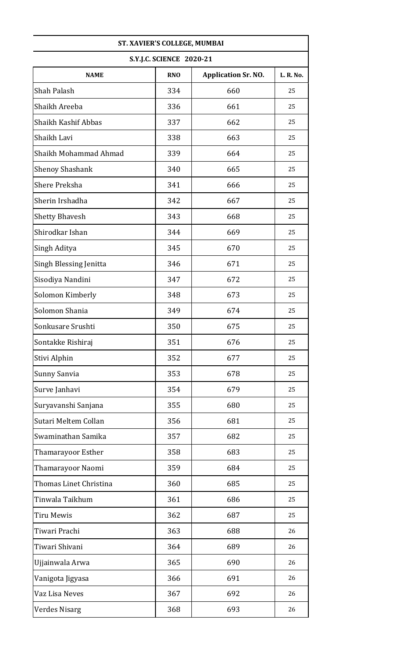| ST. XAVIER'S COLLEGE, MUMBAI |                                 |                            |           |
|------------------------------|---------------------------------|----------------------------|-----------|
|                              | <b>S.Y.J.C. SCIENCE 2020-21</b> |                            |           |
| <b>NAME</b>                  | <b>RNO</b>                      | <b>Application Sr. NO.</b> | L. R. No. |
| Shah Palash                  | 334                             | 660                        | 25        |
| Shaikh Areeba                | 336                             | 661                        | 25        |
| Shaikh Kashif Abbas          | 337                             | 662                        | 25        |
| Shaikh Lavi                  | 338                             | 663                        | 25        |
| Shaikh Mohammad Ahmad        | 339                             | 664                        | 25        |
| <b>Shenoy Shashank</b>       | 340                             | 665                        | 25        |
| <b>Shere Preksha</b>         | 341                             | 666                        | 25        |
| Sherin Irshadha              | 342                             | 667                        | 25        |
| <b>Shetty Bhavesh</b>        | 343                             | 668                        | 25        |
| Shirodkar Ishan              | 344                             | 669                        | 25        |
| Singh Aditya                 | 345                             | 670                        | 25        |
| Singh Blessing Jenitta       | 346                             | 671                        | 25        |
| Sisodiya Nandini             | 347                             | 672                        | 25        |
| Solomon Kimberly             | 348                             | 673                        | 25        |
| Solomon Shania               | 349                             | 674                        | 25        |
| Sonkusare Srushti            | 350                             | 675                        | 25        |
| Sontakke Rishiraj            | 351                             | 676                        | 25        |
| Stivi Alphin                 | 352                             | 677                        | 25        |
| Sunny Sanvia                 | 353                             | 678                        | 25        |
| Surve Janhavi                | 354                             | 679                        | 25        |
| Suryavanshi Sanjana          | 355                             | 680                        | 25        |
| Sutari Meltem Collan         | 356                             | 681                        | 25        |
| Swaminathan Samika           | 357                             | 682                        | 25        |
| Thamarayoor Esther           | 358                             | 683                        | 25        |
| Thamarayoor Naomi            | 359                             | 684                        | 25        |
| Thomas Linet Christina       | 360                             | 685                        | 25        |
| Tinwala Taikhum              | 361                             | 686                        | 25        |
| Tiru Mewis                   | 362                             | 687                        | 25        |
| Tiwari Prachi                | 363                             | 688                        | 26        |
| Tiwari Shivani               | 364                             | 689                        | 26        |
| Ujjainwala Arwa              | 365                             | 690                        | 26        |
| Vanigota Jigyasa             | 366                             | 691                        | 26        |
| Vaz Lisa Neves               | 367                             | 692                        | 26        |
| <b>Verdes Nisarg</b>         | 368                             | 693                        | 26        |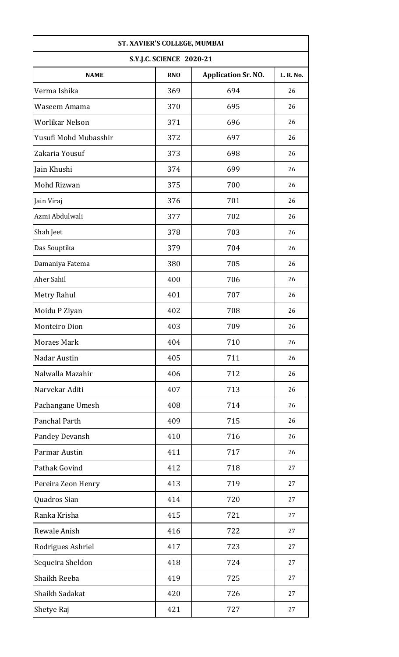| ST. XAVIER'S COLLEGE, MUMBAI |                                 |                            |           |
|------------------------------|---------------------------------|----------------------------|-----------|
|                              | <b>S.Y.J.C. SCIENCE 2020-21</b> |                            |           |
| <b>NAME</b>                  | <b>RNO</b>                      | <b>Application Sr. NO.</b> | L. R. No. |
| Verma Ishika                 | 369                             | 694                        | 26        |
| Waseem Amama                 | 370                             | 695                        | 26        |
| Worlikar Nelson              | 371                             | 696                        | 26        |
| Yusufi Mohd Mubasshir        | 372                             | 697                        | 26        |
| Zakaria Yousuf               | 373                             | 698                        | 26        |
| Jain Khushi                  | 374                             | 699                        | 26        |
| Mohd Rizwan                  | 375                             | 700                        | 26        |
| Jain Viraj                   | 376                             | 701                        | 26        |
| Azmi Abdulwali               | 377                             | 702                        | 26        |
| Shah Jeet                    | 378                             | 703                        | 26        |
| Das Souptika                 | 379                             | 704                        | 26        |
| Damaniya Fatema              | 380                             | 705                        | 26        |
| Aher Sahil                   | 400                             | 706                        | 26        |
| Metry Rahul                  | 401                             | 707                        | 26        |
| Moidu P Ziyan                | 402                             | 708                        | 26        |
| Monteiro Dion                | 403                             | 709                        | 26        |
| <b>Moraes Mark</b>           | 404                             | 710                        | 26        |
| Nadar Austin                 | 405                             | 711                        | 26        |
| Nalwalla Mazahir             | 406                             | 712                        | 26        |
| Narvekar Aditi               | 407                             | 713                        | 26        |
| Pachangane Umesh             | 408                             | 714                        | 26        |
| Panchal Parth                | 409                             | 715                        | 26        |
| Pandey Devansh               | 410                             | 716                        | 26        |
| Parmar Austin                | 411                             | 717                        | 26        |
| Pathak Govind                | 412                             | 718                        | 27        |
| Pereira Zeon Henry           | 413                             | 719                        | 27        |
| Quadros Sian                 | 414                             | 720                        | 27        |
| Ranka Krisha                 | 415                             | 721                        | 27        |
| Rewale Anish                 | 416                             | 722                        | 27        |
| Rodrigues Ashriel            | 417                             | 723                        | 27        |
| Sequeira Sheldon             | 418                             | 724                        | 27        |
| Shaikh Reeba                 | 419                             | 725                        | 27        |
| Shaikh Sadakat               | 420                             | 726                        | 27        |
| Shetye Raj                   | 421                             | 727                        | 27        |